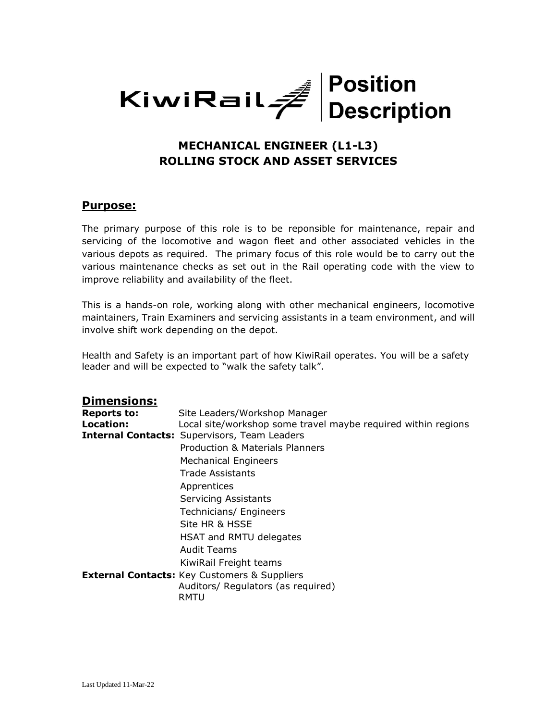

# **MECHANICAL ENGINEER (L1-L3) ROLLING STOCK AND ASSET SERVICES**

#### **Purpose:**

The primary purpose of this role is to be reponsible for maintenance, repair and servicing of the locomotive and wagon fleet and other associated vehicles in the various depots as required. The primary focus of this role would be to carry out the various maintenance checks as set out in the Rail operating code with the view to improve reliability and availability of the fleet.

This is a hands-on role, working along with other mechanical engineers, locomotive maintainers, Train Examiners and servicing assistants in a team environment, and will involve shift work depending on the depot.

Health and Safety is an important part of how KiwiRail operates. You will be a safety leader and will be expected to "walk the safety talk".

#### **Dimensions:**

| <b>Reports to:</b> | Site Leaders/Workshop Manager                                                                     |
|--------------------|---------------------------------------------------------------------------------------------------|
| Location:          | Local site/workshop some travel maybe required within regions                                     |
|                    | <b>Internal Contacts: Supervisors, Team Leaders</b>                                               |
|                    | <b>Production &amp; Materials Planners</b>                                                        |
|                    | <b>Mechanical Engineers</b>                                                                       |
|                    | Trade Assistants                                                                                  |
|                    | Apprentices                                                                                       |
|                    | <b>Servicing Assistants</b>                                                                       |
|                    | Technicians/ Engineers                                                                            |
|                    | Site HR & HSSE                                                                                    |
|                    | HSAT and RMTU delegates                                                                           |
|                    | Audit Teams                                                                                       |
|                    | KiwiRail Freight teams                                                                            |
|                    | <b>External Contacts:</b> Key Customers & Suppliers<br>Auditors/ Regulators (as required)<br>RMTU |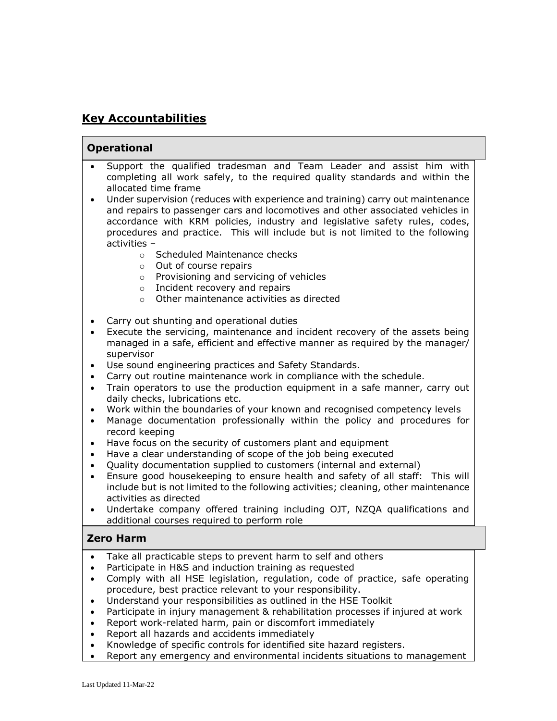## **Key Accountabilities**

#### **Operational**

- Support the qualified tradesman and Team Leader and assist him with completing all work safely, to the required quality standards and within the allocated time frame
- Under supervision (reduces with experience and training) carry out maintenance and repairs to passenger cars and locomotives and other associated vehicles in accordance with KRM policies, industry and legislative safety rules, codes, procedures and practice. This will include but is not limited to the following activities –
	- o Scheduled Maintenance checks
	- o Out of course repairs
	- o Provisioning and servicing of vehicles
	- o Incident recovery and repairs
	- o Other maintenance activities as directed
- Carry out shunting and operational duties
- Execute the servicing, maintenance and incident recovery of the assets being managed in a safe, efficient and effective manner as required by the manager/ supervisor
- Use sound engineering practices and Safety Standards.
- Carry out routine maintenance work in compliance with the schedule.
- Train operators to use the production equipment in a safe manner, carry out daily checks, lubrications etc.
- Work within the boundaries of your known and recognised competency levels
- Manage documentation professionally within the policy and procedures for record keeping
- Have focus on the security of customers plant and equipment
- Have a clear understanding of scope of the job being executed
- Quality documentation supplied to customers (internal and external)
- Ensure good housekeeping to ensure health and safety of all staff: This will include but is not limited to the following activities; cleaning, other maintenance activities as directed
- Undertake company offered training including OJT, NZQA qualifications and additional courses required to perform role

#### **Zero Harm**

- Take all practicable steps to prevent harm to self and others
- Participate in H&S and induction training as requested
- Comply with all HSE legislation, regulation, code of practice, safe operating procedure, best practice relevant to your responsibility.
- Understand your responsibilities as outlined in the HSE Toolkit
- Participate in injury management & rehabilitation processes if injured at work
- Report work-related harm, pain or discomfort immediately
- Report all hazards and accidents immediately
- Knowledge of specific controls for identified site hazard registers.
- Report any emergency and environmental incidents situations to management